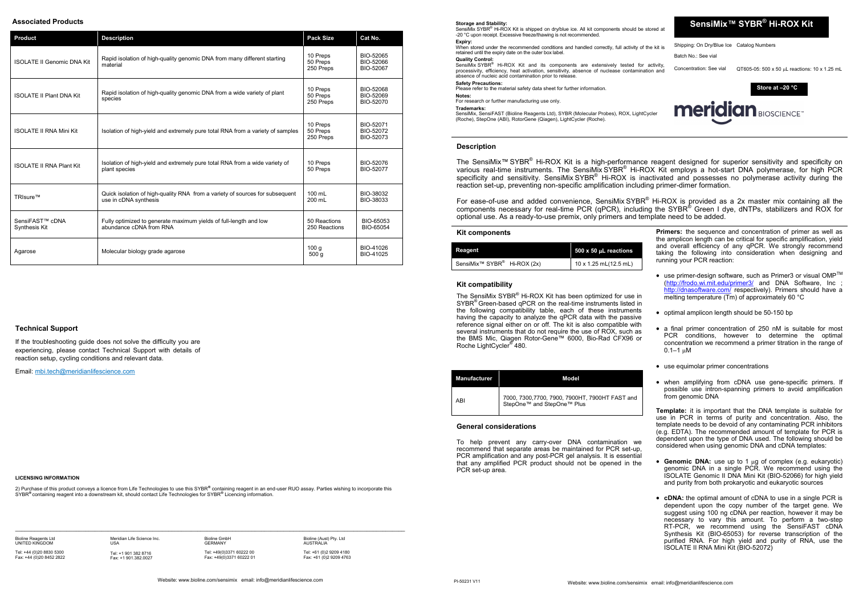**SensiMix™ SYBR ® Hi-ROX Kit** 

Concentration: See vial  $QT605-05: 500 \times 50$  uL reactions: 10 x 1.25 mL

Shipping: On Dry/Blue Ice Catalog Numbers Batch No.: See vial

**Storage and Stability:** 

SensiMix SYBR<sup>®</sup> Hi-ROX Kit is shipped on dry/blue ice. All kit components should be stored at -20 °C upon receipt. Excessive freeze/thawing is not recommended. **Expiry:**

When stored under the recommended conditions and handled correctly, full activity of the kit is retained until the expiry date on the outer box label.

SensiMix SYBR<sup>®</sup> Hi-ROX Kit and its components are extensively tested for activity, processivity, efficiency, heat activation, sensitivity, absence of nuclease contamination and absence of nucleic acid contamination prior to release. **Safety Precautions:** 

mary recomments.

# **Quality Control:**

**Notes:** For research or further manufacturing use only.

**Trademarks:**

SensiMix, SensiFAST (Bioline Reagents Ltd), SYBR (Molecular Probes), ROX, LightCycler (Roche), StepOne (ABI), RotorGene (Qiagen), LightCycler (Roche).

### **Kit components**

**Store at –20 °C**



| Reagent                                             | 500 x 50 $\mu$ L reactions |
|-----------------------------------------------------|----------------------------|
| SensiMix <sup>™</sup> SYBR <sup>®</sup> Hi-ROX (2x) | 10 x 1.25 mL(12.5 mL)      |

For ease-of-use and added convenience, SensiMix SYBR<sup>®</sup> Hi-ROX is provided as a 2x master mix containing all the components necessary for real-time PCR (qPCR), including the SYBR® Green I dye, dNTPs, stabilizers and ROX for optional use. As a ready-to-use premix, only primers and template need to be added.

> **Primers:** the sequence and concentration of primer as well as the amplicon length can be critical for specific amplification, yield and overall efficiency of any qPCR. We strongly recommend taking the following into consideration when designing and running your PCR reaction:

The SensiMix SYBR® Hi-ROX Kit has been optimized for use in SYBR<sup>®</sup> Green-based qPCR on the real-time instruments listed in the following compatibility table, each of these instruments having the capacity to analyze the qPCR data with the passive reference signal either on or off. The kit is also compatible with several instruments that do not require the use of ROX, such as the BMS Mic, Qiagen Rotor-Gene™ 6000, Bio-Rad CFX96 or Roche LightCycler® 480.

| Manufacturer | Model                                                                           |  |
|--------------|---------------------------------------------------------------------------------|--|
| ABI          | ี่ 7000, 7300,7700, 7900, 7900HT, 7900HT FAST and<br>StepOne™ and StepOne™ Plus |  |

- $\bullet~$  use primer-design software, such as Primer3 or visual OMP<sup>TM</sup> (<http://frodo.wi.mit.edu/primer3/> and DNA Software, Inc ; <http://dnasoftware.com/> respectively). Primers should have a melting temperature (Tm) of approximately 60 °C
- optimal amplicon length should be 50-150 bp
- a final primer concentration of 250 nM is suitable for most PCR conditions, however to determine the optimal concentration we recommend a primer titration in the range of  $0.1 - 1 \mu M$
- use equimolar primer concentrations
- when amplifying from cDNA use gene-specific primers. If possible use intron-spanning primers to avoid amplification from genomic DNA

# **Description**

The SensiMix™ SYBR® Hi-ROX Kit is a high-performance reagent designed for superior sensitivity and specificity on various real-time instruments. The SensiMix SYBR<sup>®</sup> Hi-ROX Kit employs a hot-start DNA polymerase, for high PCR specificity and sensitivity. SensiMix SYBR<sup>®</sup> Hi-ROX is inactivated and possesses no polymerase activity during the reaction set-up, preventing non-specific amplification including primer-dimer formation.

- Genomic DNA: use up to 1 µg of complex (e.g. eukaryotic) genomic DNA in a single PCR. We recommend using the ISOLATE Genomic II DNA Mini Kit (BIO-52066) for high yield and purity from both prokaryotic and eukaryotic sources
- **cDNA:** the optimal amount of cDNA to use in a single PCR is dependent upon the copy number of the target gene. We suggest using 100 ng cDNA per reaction, however it may be necessary to vary this amount. To perform a two-step RT-PCR, we recommend using the SensiFAST cDNA Synthesis Kit (BIO-65053) for reverse transcription of the purified RNA. For high yield and purity of RNA, use the ISOLATE II RNA Mini Kit (BIO-52072)

## **Kit compatibility**

**Template:** it is important that the DNA template is suitable for use in PCR in terms of purity and concentration. Also, the template needs to be devoid of any contaminating PCR inhibitors (e.g. EDTA). The recommended amount of template for PCR is dependent upon the type of DNA used. The following should be considered when using genomic DNA and cDNA templates:

# **General considerations**

To help prevent any carry-over DNA contamination we recommend that separate areas be maintained for PCR set-up, PCR amplification and any post-PCR gel analysis. It is essential that any amplified PCR product should not be opened in the PCR set-up area.

### **LICENSING INFORMATION**

2) Purchase of this product conveys a licence from Life Technologies to use this SYBR**®** containing reagent in an end-user RUO assay. Parties wishing to incorporate this SYBR**®** containing reagent into a downstream kit, should contact Life Technologies for SYBR**®** Licencing information.

 $\mathcal{L} = \{ \mathcal{L} = \{ \mathcal{L} = \{ \mathcal{L} = \{ \mathcal{L} = \{ \mathcal{L} = \{ \mathcal{L} = \{ \mathcal{L} = \{ \mathcal{L} = \{ \mathcal{L} = \{ \mathcal{L} = \{ \mathcal{L} = \{ \mathcal{L} = \{ \mathcal{L} = \{ \mathcal{L} = \{ \mathcal{L} = \{ \mathcal{L} = \{ \mathcal{L} = \{ \mathcal{L} = \{ \mathcal{L} = \{ \mathcal{L} = \{ \mathcal{L} = \{ \mathcal{L} = \{ \mathcal{L} = \{ \mathcal{$ 

### **Associated Products**

| <b>Product</b>                                                                                                                                      | <b>Description</b>                                                                                    | <b>Pack Size</b>                     | Cat No.                             |
|-----------------------------------------------------------------------------------------------------------------------------------------------------|-------------------------------------------------------------------------------------------------------|--------------------------------------|-------------------------------------|
| <b>ISOLATE II Genomic DNA Kit</b>                                                                                                                   | Rapid isolation of high-quality genomic DNA from many different starting<br>material                  | 10 Preps<br>50 Preps<br>250 Preps    | BIO-52065<br>BIO-52066<br>BIO-52067 |
| <b>ISOLATE II Plant DNA Kit</b>                                                                                                                     | Rapid isolation of high-quality genomic DNA from a wide variety of plant<br>species                   | 10 Preps<br>50 Preps<br>250 Preps    | BIO-52068<br>BIO-52069<br>BIO-52070 |
| <b>ISOLATE II RNA Mini Kit</b><br>Isolation of high-yield and extremely pure total RNA from a variety of samples                                    |                                                                                                       | 10 Preps<br>50 Preps<br>250 Preps    | BIO-52071<br>BIO-52072<br>BIO-52073 |
| Isolation of high-yield and extremely pure total RNA from a wide variety of<br><b>ISOLATE II RNA Plant Kit</b><br>plant species                     |                                                                                                       | 10 Preps<br>50 Preps                 | BIO-52076<br>BIO-52077              |
| TRIsure™                                                                                                                                            | Quick isolation of high-quality RNA from a variety of sources for subsequent<br>use in cDNA synthesis | 100 mL<br>200 mL                     | BIO-38032<br>BIO-38033              |
| SensiFAST <sup>™</sup> cDNA<br>Fully optimized to generate maximum yields of full-length and low<br>abundance cDNA from RNA<br><b>Synthesis Kit</b> |                                                                                                       | 50 Reactions<br>250 Reactions        | BIO-65053<br>BIO-65054              |
| Agarose                                                                                                                                             | Molecular biology grade agarose                                                                       | 100 <sub>g</sub><br>500 <sub>g</sub> | BIO-41026<br>BIO-41025              |

Bioline Reagents Ltd UNITED KINGDOM

Tel: +44 (0)20 8830 5300 Fax: +44 (0)20 8452 2822

Meridian Life Science Inc.  $IISA$ Tel: +1 901 382 8716 Fax: +1 901.382.0027

Bioline GmbH GERMANY

Tel: +49(0)3371 60222 00 Fax: +49(0)3371 60222 01 Bioline (Aust) Pty. Ltd AUSTRALIA Tel: +61 (0)2 9209 4180

Fax: +61 (0)2 9209 4763

# **Technical Support**

If the troubleshooting guide does not solve the difficulty you are experiencing, please contact Technical Support with details of reaction setup, cycling conditions and relevant data.

Email: [mbi.tech@m](mailto:tech@bioline.com)eridianlifescience.com